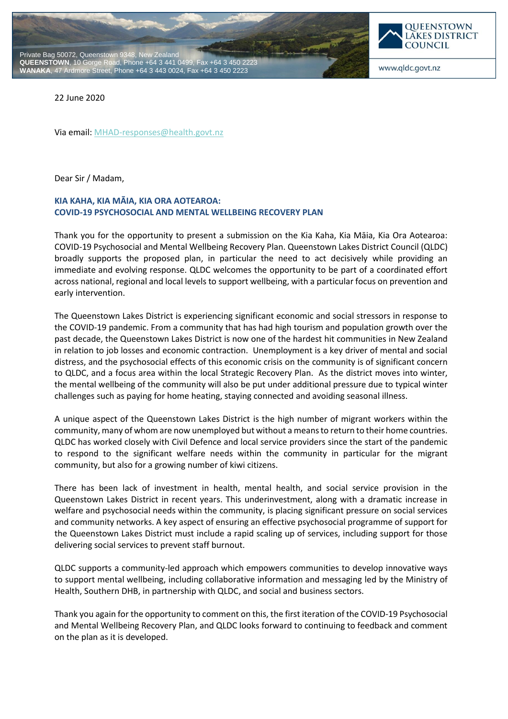



www.qldc.govt.nz

22 June 2020

Via email: [MHAD-responses@health.govt.nz](mailto:MHAD-responses@health.govt.nz)

Dear Sir / Madam,

### **KIA KAHA, KIA MĀIA, KIA ORA AOTEAROA: COVID-19 PSYCHOSOCIAL AND MENTAL WELLBEING RECOVERY PLAN**

Thank you for the opportunity to present a submission on the Kia Kaha, Kia Māia, Kia Ora Aotearoa: COVID-19 Psychosocial and Mental Wellbeing Recovery Plan. Queenstown Lakes District Council (QLDC) broadly supports the proposed plan, in particular the need to act decisively while providing an immediate and evolving response. QLDC welcomes the opportunity to be part of a coordinated effort across national, regional and local levels to support wellbeing, with a particular focus on prevention and early intervention.

The Queenstown Lakes District is experiencing significant economic and social stressors in response to the COVID-19 pandemic. From a community that has had high tourism and population growth over the past decade, the Queenstown Lakes District is now one of the hardest hit communities in New Zealand in relation to job losses and economic contraction. Unemployment is a key driver of mental and social distress, and the psychosocial effects of this economic crisis on the community is of significant concern to QLDC, and a focus area within the local Strategic Recovery Plan. As the district moves into winter, the mental wellbeing of the community will also be put under additional pressure due to typical winter challenges such as paying for home heating, staying connected and avoiding seasonal illness.

A unique aspect of the Queenstown Lakes District is the high number of migrant workers within the community, many of whom are now unemployed but without a means to return to their home countries. QLDC has worked closely with Civil Defence and local service providers since the start of the pandemic to respond to the significant welfare needs within the community in particular for the migrant community, but also for a growing number of kiwi citizens.

There has been lack of investment in health, mental health, and social service provision in the Queenstown Lakes District in recent years. This underinvestment, along with a dramatic increase in welfare and psychosocial needs within the community, is placing significant pressure on social services and community networks. A key aspect of ensuring an effective psychosocial programme of support for the Queenstown Lakes District must include a rapid scaling up of services, including support for those delivering social services to prevent staff burnout.

QLDC supports a community-led approach which empowers communities to develop innovative ways to support mental wellbeing, including collaborative information and messaging led by the Ministry of Health, Southern DHB, in partnership with QLDC, and social and business sectors.

Thank you again for the opportunity to comment on this, the first iteration of the COVID-19 Psychosocial and Mental Wellbeing Recovery Plan, and QLDC looks forward to continuing to feedback and comment on the plan as it is developed.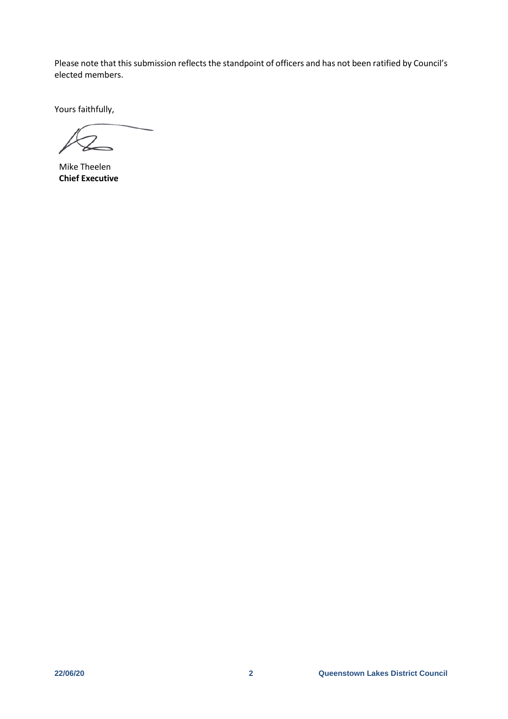Please note that this submission reflects the standpoint of officers and has not been ratified by Council's elected members.

Yours faithfully,

Mike Theelen **Chief Executive**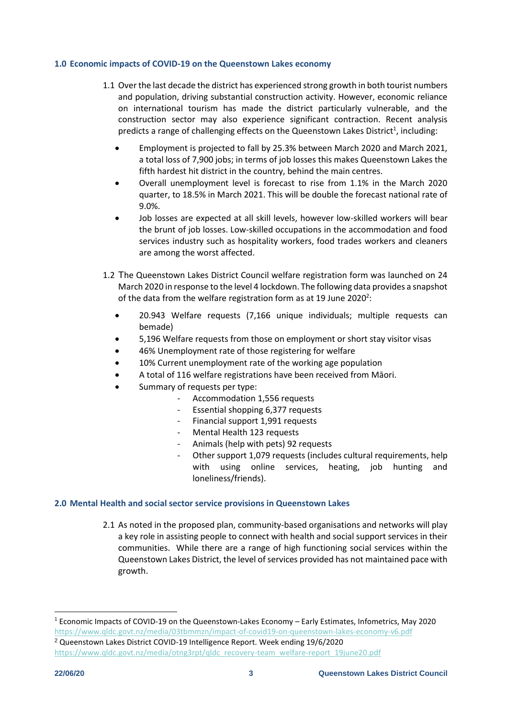#### **1.0 Economic impacts of COVID-19 on the Queenstown Lakes economy**

- 1.1 Over the last decade the district has experienced strong growth in both tourist numbers and population, driving substantial construction activity. However, economic reliance on international tourism has made the district particularly vulnerable, and the construction sector may also experience significant contraction. Recent analysis predicts a range of challenging effects on the Queenstown Lakes District<sup>1</sup>, including:
	- Employment is projected to fall by 25.3% between March 2020 and March 2021, a total loss of 7,900 jobs; in terms of job losses this makes Queenstown Lakes the fifth hardest hit district in the country, behind the main centres.
	- Overall unemployment level is forecast to rise from 1.1% in the March 2020 quarter, to 18.5% in March 2021. This will be double the forecast national rate of 9.0%.
	- Job losses are expected at all skill levels, however low-skilled workers will bear the brunt of job losses. Low-skilled occupations in the accommodation and food services industry such as hospitality workers, food trades workers and cleaners are among the worst affected.
- 1.2 The Queenstown Lakes District Council welfare registration form was launched on 24 March 2020 in response to the level 4 lockdown. The following data provides a snapshot of the data from the welfare registration form as at 19 June 2020<sup>2</sup>:
	- 20.943 Welfare requests (7,166 unique individuals; multiple requests can bemade)
	- 5,196 Welfare requests from those on employment or short stay visitor visas
	- 46% Unemployment rate of those registering for welfare
	- 10% Current unemployment rate of the working age population
	- A total of 116 welfare registrations have been received from Māori.
	- Summary of requests per type:
		- Accommodation 1,556 requests
		- Essential shopping 6,377 requests
		- Financial support 1,991 requests
		- Mental Health 123 requests
		- Animals (help with pets) 92 requests
		- Other support 1,079 requests (includes cultural requirements, help with using online services, heating, job hunting and loneliness/friends).

### **2.0 Mental Health and social sector service provisions in Queenstown Lakes**

2.1 As noted in the proposed plan, community-based organisations and networks will play a key role in assisting people to connect with health and social support services in their communities. While there are a range of high functioning social services within the Queenstown Lakes District, the level of services provided has not maintained pace with growth.

<sup>2</sup> Queenstown Lakes District COVID-19 Intelligence Report. Week ending 19/6/2020 [https://www.qldc.govt.nz/media/otng3rpt/qldc\\_recovery-team\\_welfare-report\\_19june20.pdf](https://www.qldc.govt.nz/media/otng3rpt/qldc_recovery-team_welfare-report_19june20.pdf)

 $\overline{a}$ 

 $1$  Economic Impacts of COVID-19 on the Queenstown-Lakes Economy – Early Estimates, Infometrics, May 2020 <https://www.qldc.govt.nz/media/03tbmmzn/impact-of-covid19-on-queenstown-lakes-economy-v6.pdf>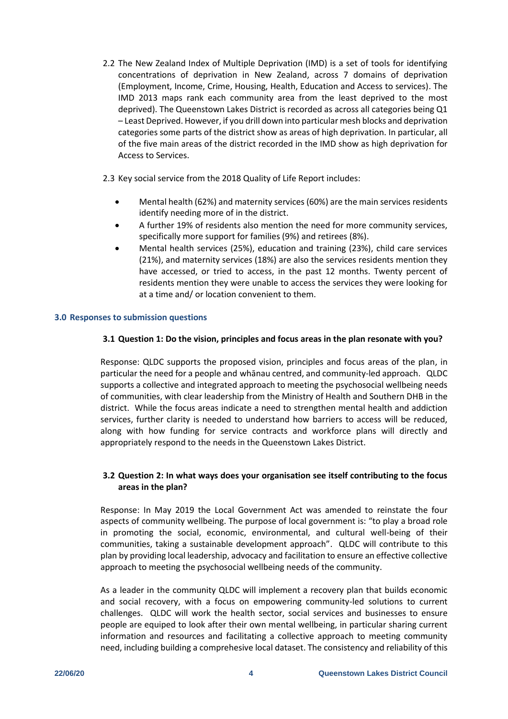2.2 The New Zealand Index of Multiple Deprivation (IMD) is a set of tools for identifying concentrations of deprivation in New Zealand, across 7 domains of deprivation (Employment, Income, Crime, Housing, Health, Education and Access to services). The IMD 2013 maps rank each community area from the least deprived to the most deprived). The Queenstown Lakes District is recorded as across all categories being Q1 – Least Deprived. However, if you drill down into particular mesh blocks and deprivation categories some parts of the district show as areas of high deprivation. In particular, all of the five main areas of the district recorded in the IMD show as high deprivation for Access to Services.

2.3 Key social service from the 2018 Quality of Life Report includes:

- Mental health (62%) and maternity services (60%) are the main services residents identify needing more of in the district.
- A further 19% of residents also mention the need for more community services, specifically more support for families (9%) and retirees (8%).
- Mental health services (25%), education and training (23%), child care services (21%), and maternity services (18%) are also the services residents mention they have accessed, or tried to access, in the past 12 months. Twenty percent of residents mention they were unable to access the services they were looking for at a time and/ or location convenient to them.

## **3.0 Responses to submission questions**

## **3.1 Question 1: Do the vision, principles and focus areas in the plan resonate with you?**

Response: QLDC supports the proposed vision, principles and focus areas of the plan, in particular the need for a people and whānau centred, and community-led approach. QLDC supports a collective and integrated approach to meeting the psychosocial wellbeing needs of communities, with clear leadership from the Ministry of Health and Southern DHB in the district. While the focus areas indicate a need to strengthen mental health and addiction services, further clarity is needed to understand how barriers to access will be reduced, along with how funding for service contracts and workforce plans will directly and appropriately respond to the needs in the Queenstown Lakes District.

# **3.2 Question 2: In what ways does your organisation see itself contributing to the focus areas in the plan?**

Response: In May 2019 the Local Government Act was amended to reinstate the four aspects of community wellbeing. The purpose of local government is: "to play a broad role in promoting the social, economic, environmental, and cultural well-being of their communities, taking a sustainable development approach". QLDC will contribute to this plan by providing local leadership, advocacy and facilitation to ensure an effective collective approach to meeting the psychosocial wellbeing needs of the community.

As a leader in the community QLDC will implement a recovery plan that builds economic and social recovery, with a focus on empowering community-led solutions to current challenges. QLDC will work the health sector, social services and businesses to ensure people are equiped to look after their own mental wellbeing, in particular sharing current information and resources and facilitating a collective approach to meeting community need, including building a comprehesive local dataset. The consistency and reliability of this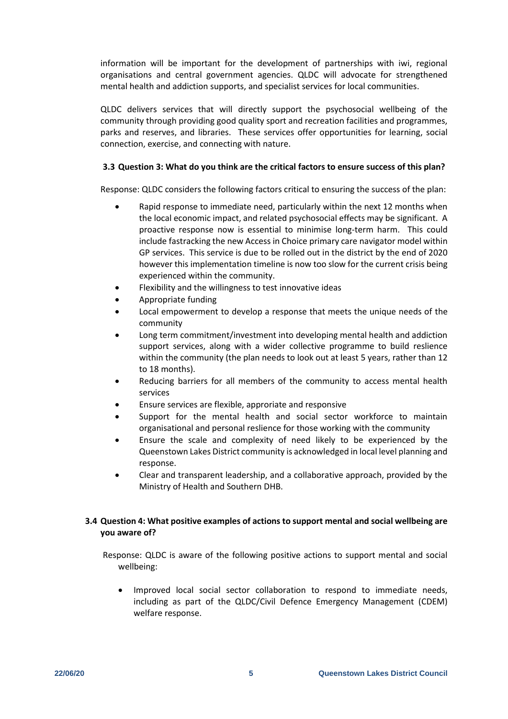information will be important for the development of partnerships with iwi, regional organisations and central government agencies. QLDC will advocate for strengthened mental health and addiction supports, and specialist services for local communities.

QLDC delivers services that will directly support the psychosocial wellbeing of the community through providing good quality sport and recreation facilities and programmes, parks and reserves, and libraries. These services offer opportunities for learning, social connection, exercise, and connecting with nature.

## **3.3 Question 3: What do you think are the critical factors to ensure success of this plan?**

Response: QLDC considers the following factors critical to ensuring the success of the plan:

- Rapid response to immediate need, particularly within the next 12 months when the local economic impact, and related psychosocial effects may be significant. A proactive response now is essential to minimise long-term harm. This could include fastracking the new Access in Choice primary care navigator model within GP services. This service is due to be rolled out in the district by the end of 2020 however this implementation timeline is now too slow for the current crisis being experienced within the community.
- Flexibility and the willingness to test innovative ideas
- Appropriate funding
- Local empowerment to develop a response that meets the unique needs of the community
- Long term commitment/investment into developing mental health and addiction support services, along with a wider collective programme to build reslience within the community (the plan needs to look out at least 5 years, rather than 12 to 18 months).
- Reducing barriers for all members of the community to access mental health services
- Ensure services are flexible, approriate and responsive
- Support for the mental health and social sector workforce to maintain organisational and personal reslience for those working with the community
- Ensure the scale and complexity of need likely to be experienced by the Queenstown Lakes District community is acknowledged in local level planning and response.
- Clear and transparent leadership, and a collaborative approach, provided by the Ministry of Health and Southern DHB.

# **3.4 Question 4: What positive examples of actions to support mental and social wellbeing are you aware of?**

Response: QLDC is aware of the following positive actions to support mental and social wellbeing:

• Improved local social sector collaboration to respond to immediate needs, including as part of the QLDC/Civil Defence Emergency Management (CDEM) welfare response.